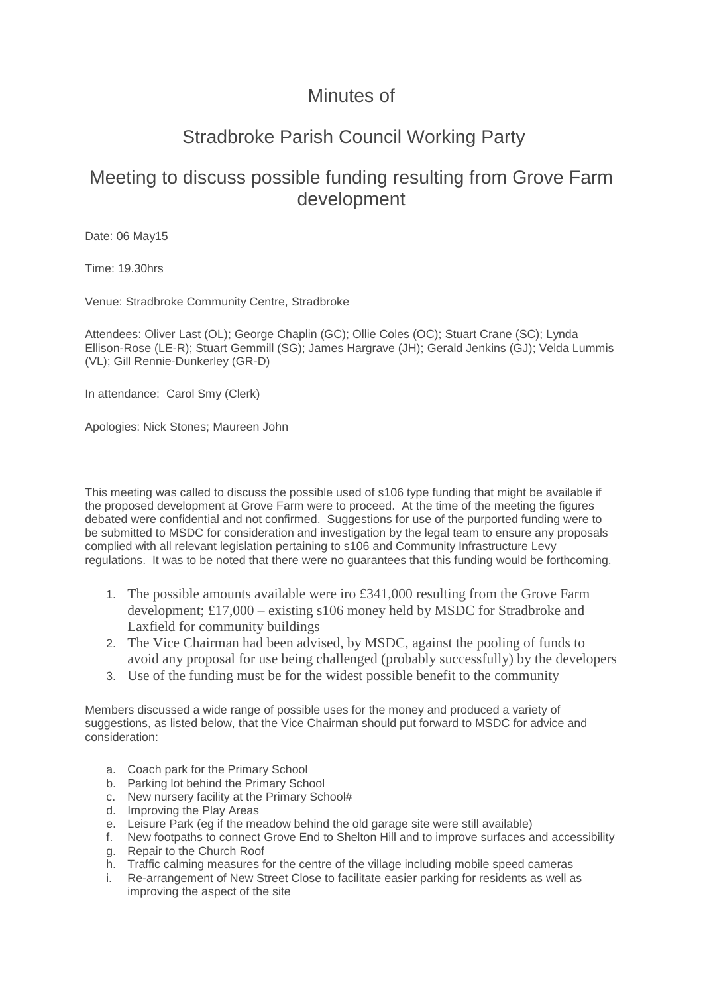## Minutes of

## Stradbroke Parish Council Working Party

## Meeting to discuss possible funding resulting from Grove Farm development

Date: 06 May15

Time: 19.30hrs

Venue: Stradbroke Community Centre, Stradbroke

Attendees: Oliver Last (OL); George Chaplin (GC); Ollie Coles (OC); Stuart Crane (SC); Lynda Ellison-Rose (LE-R); Stuart Gemmill (SG); James Hargrave (JH); Gerald Jenkins (GJ); Velda Lummis (VL); Gill Rennie-Dunkerley (GR-D)

In attendance: Carol Smy (Clerk)

Apologies: Nick Stones; Maureen John

This meeting was called to discuss the possible used of s106 type funding that might be available if the proposed development at Grove Farm were to proceed. At the time of the meeting the figures debated were confidential and not confirmed. Suggestions for use of the purported funding were to be submitted to MSDC for consideration and investigation by the legal team to ensure any proposals complied with all relevant legislation pertaining to s106 and Community Infrastructure Levy regulations. It was to be noted that there were no guarantees that this funding would be forthcoming.

- 1. The possible amounts available were iro £341,000 resulting from the Grove Farm development; £17,000 – existing s106 money held by MSDC for Stradbroke and Laxfield for community buildings
- 2. The Vice Chairman had been advised, by MSDC, against the pooling of funds to avoid any proposal for use being challenged (probably successfully) by the developers
- 3. Use of the funding must be for the widest possible benefit to the community

Members discussed a wide range of possible uses for the money and produced a variety of suggestions, as listed below, that the Vice Chairman should put forward to MSDC for advice and consideration:

- a. Coach park for the Primary School
- b. Parking lot behind the Primary School
- c. New nursery facility at the Primary School#
- d. Improving the Play Areas
- e. Leisure Park (eg if the meadow behind the old garage site were still available)
- f. New footpaths to connect Grove End to Shelton Hill and to improve surfaces and accessibility g. Repair to the Church Roof
- h. Traffic calming measures for the centre of the village including mobile speed cameras
- i. Re-arrangement of New Street Close to facilitate easier parking for residents as well as improving the aspect of the site